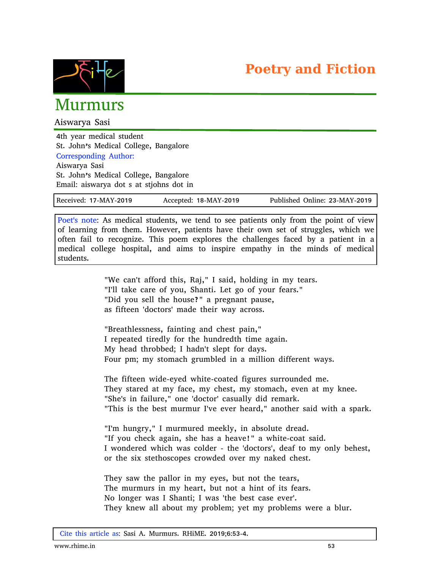



## Murmurs

Aiswarya Sasi

4th year medical student St. John's Medical College, Bangalore Corresponding Author: Aiswarya Sasi St. John's Medical College, Bangalore

Email: aiswarya dot s at stjohns dot in

| Received: 17-MAY-2019 | Accepted: 18-MAY-2019 | Published Online: 23-MAY-2019 |  |
|-----------------------|-----------------------|-------------------------------|--|
|-----------------------|-----------------------|-------------------------------|--|

Poet's note: As medical students, we tend to see patients only from the point of view of learning from them. However, patients have their own set of struggles, which we often fail to recognize. This poem explores the challenges faced by a patient in a medical college hospital, and aims to inspire empathy in the minds of medical students.

> "We can't afford this, Raj," I said, holding in my tears. "I'll take care of you, Shanti. Let go of your fears." "Did you sell the house?" a pregnant pause, as fifteen 'doctors' made their way across.

"Breathlessness, fainting and chest pain," I repeated tiredly for the hundredth time again. My head throbbed; I hadn't slept for days. Four pm; my stomach grumbled in a million different ways.

The fifteen wide-eyed white-coated figures surrounded me. They stared at my face, my chest, my stomach, even at my knee. "She's in failure," one 'doctor' casually did remark. "This is the best murmur I've ever heard," another said with a spark.

"I'm hungry," I murmured meekly, in absolute dread. "If you check again, she has a heave!" a white-coat said. I wondered which was colder - the 'doctors', deaf to my only behest, or the six stethoscopes crowded over my naked chest.

They saw the pallor in my eyes, but not the tears, The murmurs in my heart, but not a hint of its fears. No longer was I Shanti; I was 'the best case ever'. They knew all about my problem; yet my problems were a blur.

Cite this article as: Sasi A. Murmurs. RHiME. 2019;6:53-4.